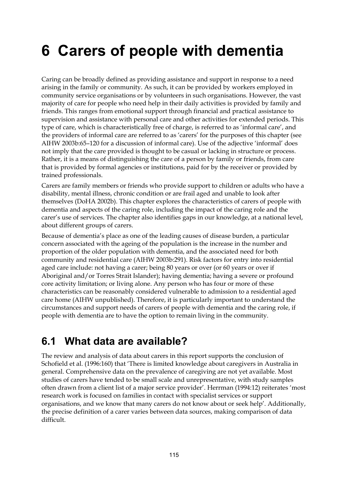# **6 Carers of people with dementia**

Caring can be broadly defined as providing assistance and support in response to a need arising in the family or community. As such, it can be provided by workers employed in community service organisations or by volunteers in such organisations. However, the vast majority of care for people who need help in their daily activities is provided by family and friends. This ranges from emotional support through financial and practical assistance to supervision and assistance with personal care and other activities for extended periods. This type of care, which is characteristically free of charge, is referred to as 'informal care', and the providers of informal care are referred to as 'carers' for the purposes of this chapter (see AIHW 2003b:65–120 for a discussion of informal care). Use of the adjective 'informal' does not imply that the care provided is thought to be casual or lacking in structure or process. Rather, it is a means of distinguishing the care of a person by family or friends, from care that is provided by formal agencies or institutions, paid for by the receiver or provided by trained professionals.

Carers are family members or friends who provide support to children or adults who have a disability, mental illness, chronic condition or are frail aged and unable to look after themselves (DoHA 2002b). This chapter explores the characteristics of carers of people with dementia and aspects of the caring role, including the impact of the caring role and the carer's use of services. The chapter also identifies gaps in our knowledge, at a national level, about different groups of carers.

Because of dementia's place as one of the leading causes of disease burden, a particular concern associated with the ageing of the population is the increase in the number and proportion of the older population with dementia, and the associated need for both community and residential care (AIHW 2003b:291). Risk factors for entry into residential aged care include: not having a carer; being 80 years or over (or 60 years or over if Aboriginal and/or Torres Strait Islander); having dementia; having a severe or profound core activity limitation; or living alone. Any person who has four or more of these characteristics can be reasonably considered vulnerable to admission to a residential aged care home (AIHW unpublished). Therefore, it is particularly important to understand the circumstances and support needs of carers of people with dementia and the caring role, if people with dementia are to have the option to remain living in the community.

# **6.1 What data are available?**

The review and analysis of data about carers in this report supports the conclusion of Schofield et al. (1996:160) that 'There is limited knowledge about caregivers in Australia in general. Comprehensive data on the prevalence of caregiving are not yet available. Most studies of carers have tended to be small scale and unrepresentative, with study samples often drawn from a client list of a major service provider'. Herrman (1994:12) reiterates 'most research work is focused on families in contact with specialist services or support organisations, and we know that many carers do not know about or seek help'. Additionally, the precise definition of a carer varies between data sources, making comparison of data difficult.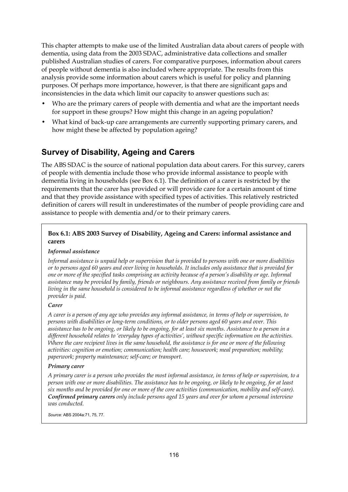This chapter attempts to make use of the limited Australian data about carers of people with dementia, using data from the 2003 SDAC, administrative data collections and smaller published Australian studies of carers. For comparative purposes, information about carers of people without dementia is also included where appropriate. The results from this analysis provide some information about carers which is useful for policy and planning purposes. Of perhaps more importance, however, is that there are significant gaps and inconsistencies in the data which limit our capacity to answer questions such as:

- Who are the primary carers of people with dementia and what are the important needs for support in these groups? How might this change in an ageing population?
- What kind of back-up care arrangements are currently supporting primary carers, and how might these be affected by population ageing?

# **Survey of Disability, Ageing and Carers**

The ABS SDAC is the source of national population data about carers. For this survey, carers of people with dementia include those who provide informal assistance to people with dementia living in households (see Box 6.1). The definition of a carer is restricted by the requirements that the carer has provided or will provide care for a certain amount of time and that they provide assistance with specified types of activities. This relatively restricted definition of carers will result in underestimates of the number of people providing care and assistance to people with dementia and/or to their primary carers.

#### **Box 6.1: ABS 2003 Survey of Disability, Ageing and Carers: informal assistance and carers**

#### *Informal assistance*

*Informal assistance is unpaid help or supervision that is provided to persons with one or more disabilities or to persons aged 60 years and over living in households. It includes only assistance that is provided for one or more of the specified tasks comprising an activity because of a person's disability or age. Informal assistance may be provided by family, friends or neighbours. Any assistance received from family or friends living in the same household is considered to be informal assistance regardless of whether or not the provider is paid.* 

#### *Carer*

*A carer is a person of any age who provides any informal assistance, in terms of help or supervision, to persons with disabilities or long-term conditions, or to older persons aged 60 years and over. This assistance has to be ongoing, or likely to be ongoing, for at least six months. Assistance to a person in a different household relates to 'everyday types of activities', without specific information on the activities. Where the care recipient lives in the same household, the assistance is for one or more of the following activities: cognition or emotion; communication; health care; housework; meal preparation; mobility; paperwork; property maintenance; self-care; or transport.* 

#### *Primary carer*

*A primary carer is a person who provides the most informal assistance, in terms of help or supervision, to a person with one or more disabilities. The assistance has to be ongoing, or likely to be ongoing, for at least six months and be provided for one or more of the core activities (communication, mobility and self-care). Confirmed primary carers only include persons aged 15 years and over for whom a personal interview was conducted.* 

*Source:* ABS 2004a:71, 75, 77.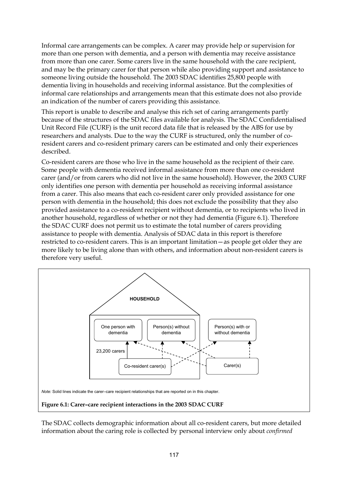Informal care arrangements can be complex. A carer may provide help or supervision for more than one person with dementia, and a person with dementia may receive assistance from more than one carer. Some carers live in the same household with the care recipient, and may be the primary carer for that person while also providing support and assistance to someone living outside the household. The 2003 SDAC identifies 25,800 people with dementia living in households and receiving informal assistance. But the complexities of informal care relationships and arrangements mean that this estimate does not also provide an indication of the number of carers providing this assistance.

This report is unable to describe and analyse this rich set of caring arrangements partly because of the structures of the SDAC files available for analysis. The SDAC Confidentialised Unit Record File (CURF) is the unit record data file that is released by the ABS for use by researchers and analysts. Due to the way the CURF is structured, only the number of coresident carers and co-resident primary carers can be estimated and only their experiences described.

Co-resident carers are those who live in the same household as the recipient of their care. Some people with dementia received informal assistance from more than one co-resident carer (and/or from carers who did not live in the same household). However, the 2003 CURF only identifies one person with dementia per household as receiving informal assistance from a carer. This also means that each co-resident carer only provided assistance for one person with dementia in the household; this does not exclude the possibility that they also provided assistance to a co-resident recipient without dementia, or to recipients who lived in another household, regardless of whether or not they had dementia (Figure 6.1). Therefore the SDAC CURF does not permit us to estimate the total number of carers providing assistance to people with dementia. Analysis of SDAC data in this report is therefore restricted to co-resident carers. This is an important limitation—as people get older they are more likely to be living alone than with others, and information about non-resident carers is therefore very useful.



The SDAC collects demographic information about all co-resident carers, but more detailed information about the caring role is collected by personal interview only about *confirmed*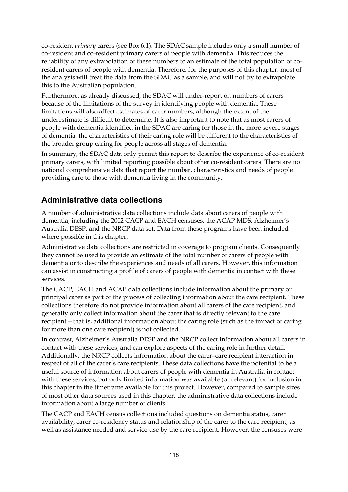co-resident *primary* carers (see Box 6.1). The SDAC sample includes only a small number of co-resident and co-resident primary carers of people with dementia. This reduces the reliability of any extrapolation of these numbers to an estimate of the total population of coresident carers of people with dementia. Therefore, for the purposes of this chapter, most of the analysis will treat the data from the SDAC as a sample, and will not try to extrapolate this to the Australian population.

Furthermore, as already discussed, the SDAC will under-report on numbers of carers because of the limitations of the survey in identifying people with dementia. These limitations will also affect estimates of carer numbers, although the extent of the underestimate is difficult to determine. It is also important to note that as most carers of people with dementia identified in the SDAC are caring for those in the more severe stages of dementia, the characteristics of their caring role will be different to the characteristics of the broader group caring for people across all stages of dementia.

In summary, the SDAC data only permit this report to describe the experience of co-resident primary carers, with limited reporting possible about other co-resident carers. There are no national comprehensive data that report the number, characteristics and needs of people providing care to those with dementia living in the community.

# **Administrative data collections**

A number of administrative data collections include data about carers of people with dementia, including the 2002 CACP and EACH censuses, the ACAP MDS, Alzheimer's Australia DESP, and the NRCP data set. Data from these programs have been included where possible in this chapter.

Administrative data collections are restricted in coverage to program clients. Consequently they cannot be used to provide an estimate of the total number of carers of people with dementia or to describe the experiences and needs of all carers. However, this information can assist in constructing a profile of carers of people with dementia in contact with these services.

The CACP, EACH and ACAP data collections include information about the primary or principal carer as part of the process of collecting information about the care recipient. These collections therefore do not provide information about all carers of the care recipient, and generally only collect information about the carer that is directly relevant to the care recipient—that is, additional information about the caring role (such as the impact of caring for more than one care recipient) is not collected.

In contrast, Alzheimer's Australia DESP and the NRCP collect information about all carers in contact with these services, and can explore aspects of the caring role in further detail. Additionally, the NRCP collects information about the carer–care recipient interaction in respect of all of the carer's care recipients. These data collections have the potential to be a useful source of information about carers of people with dementia in Australia in contact with these services, but only limited information was available (or relevant) for inclusion in this chapter in the timeframe available for this project. However, compared to sample sizes of most other data sources used in this chapter, the administrative data collections include information about a large number of clients.

The CACP and EACH census collections included questions on dementia status, carer availability, carer co-residency status and relationship of the carer to the care recipient, as well as assistance needed and service use by the care recipient. However, the censuses were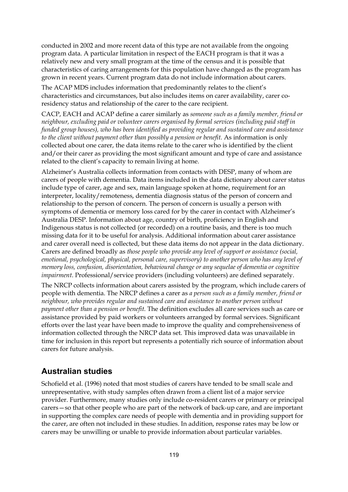conducted in 2002 and more recent data of this type are not available from the ongoing program data. A particular limitation in respect of the EACH program is that it was a relatively new and very small program at the time of the census and it is possible that characteristics of caring arrangements for this population have changed as the program has grown in recent years. Current program data do not include information about carers.

The ACAP MDS includes information that predominantly relates to the client's characteristics and circumstances, but also includes items on carer availability, carer coresidency status and relationship of the carer to the care recipient.

CACP, EACH and ACAP define a carer similarly as *someone such as a family member, friend or neighbour, excluding paid or volunteer carers organised by formal services (including paid staff in funded group houses), who has been identified as providing regular and sustained care and assistance to the client without payment other than possibly a pension or benefit.* As information is only collected about one carer, the data items relate to the carer who is identified by the client and/or their carer as providing the most significant amount and type of care and assistance related to the client's capacity to remain living at home.

Alzheimer's Australia collects information from contacts with DESP, many of whom are carers of people with dementia. Data items included in the data dictionary about carer status include type of carer, age and sex, main language spoken at home, requirement for an interpreter, locality/remoteness, dementia diagnosis status of the person of concern and relationship to the person of concern. The person of concern is usually a person with symptoms of dementia or memory loss cared for by the carer in contact with Alzheimer's Australia DESP. Information about age, country of birth, proficiency in English and Indigenous status is not collected (or recorded) on a routine basis, and there is too much missing data for it to be useful for analysis. Additional information about carer assistance and carer overall need is collected, but these data items do not appear in the data dictionary. Carers are defined broadly as *those people who provide any level of support or assistance (social, emotional, psychological, physical, personal care, supervisory) to another person who has any level of memory loss, confusion, disorientation, behavioural change or any sequelae of dementia or cognitive impairment*. Professional/service providers (including volunteers) are defined separately.

The NRCP collects information about carers assisted by the program, which include carers of people with dementia. The NRCP defines a carer as *a person such as a family member, friend or neighbour, who provides regular and sustained care and assistance to another person without payment other than a pension or benefit*. The definition excludes all care services such as care or assistance provided by paid workers or volunteers arranged by formal services. Significant efforts over the last year have been made to improve the quality and comprehensiveness of information collected through the NRCP data set. This improved data was unavailable in time for inclusion in this report but represents a potentially rich source of information about carers for future analysis.

### **Australian studies**

Schofield et al. (1996) noted that most studies of carers have tended to be small scale and unrepresentative, with study samples often drawn from a client list of a major service provider. Furthermore, many studies only include co-resident carers or primary or principal carers—so that other people who are part of the network of back-up care, and are important in supporting the complex care needs of people with dementia and in providing support for the carer, are often not included in these studies. In addition, response rates may be low or carers may be unwilling or unable to provide information about particular variables.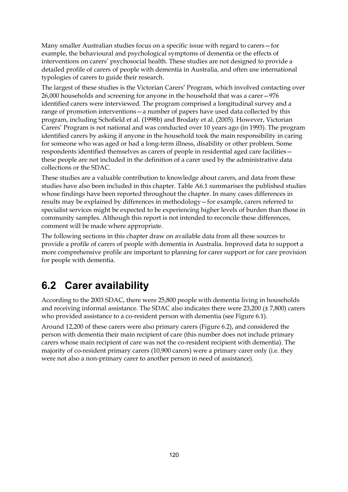Many smaller Australian studies focus on a specific issue with regard to carers—for example, the behavioural and psychological symptoms of dementia or the effects of interventions on carers' psychosocial health. These studies are not designed to provide a detailed profile of carers of people with dementia in Australia, and often use international typologies of carers to guide their research.

The largest of these studies is the Victorian Carers' Program, which involved contacting over 26,000 households and screening for anyone in the household that was a carer—976 identified carers were interviewed. The program comprised a longitudinal survey and a range of promotion interventions—a number of papers have used data collected by this program, including Schofield et al. (1998b) and Brodaty et al. (2005). However, Victorian Carers' Program is not national and was conducted over 10 years ago (in 1993). The program identified carers by asking if anyone in the household took the main responsibility in caring for someone who was aged or had a long-term illness, disability or other problem. Some respondents identified themselves as carers of people in residential aged care facilities these people are not included in the definition of a carer used by the administrative data collections or the SDAC.

These studies are a valuable contribution to knowledge about carers, and data from these studies have also been included in this chapter. Table A6.1 summarises the published studies whose findings have been reported throughout the chapter. In many cases differences in results may be explained by differences in methodology—for example, carers referred to specialist services might be expected to be experiencing higher levels of burden than those in community samples. Although this report is not intended to reconcile these differences, comment will be made where appropriate.

The following sections in this chapter draw on available data from all these sources to provide a profile of carers of people with dementia in Australia. Improved data to support a more comprehensive profile are important to planning for carer support or for care provision for people with dementia.

# **6.2 Carer availability**

According to the 2003 SDAC, there were 25,800 people with dementia living in households and receiving informal assistance. The SDAC also indicates there were 23,200 (± 7,800) carers who provided assistance to a co-resident person with dementia (see Figure 6.1).

Around 12,200 of these carers were also primary carers (Figure 6.2), and considered the person with dementia their main recipient of care (this number does not include primary carers whose main recipient of care was not the co-resident recipient with dementia). The majority of co-resident primary carers (10,900 carers) were a primary carer only (i.e. they were not also a non-primary carer to another person in need of assistance).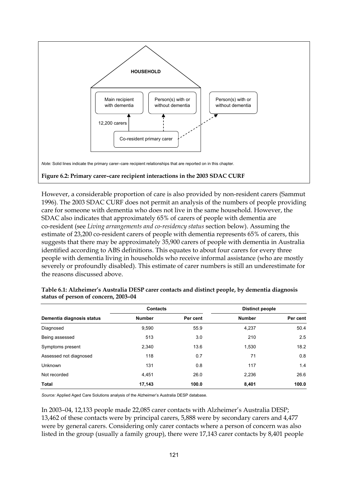

However, a considerable proportion of care is also provided by non-resident carers (Sammut 1996). The 2003 SDAC CURF does not permit an analysis of the numbers of people providing care for someone with dementia who does not live in the same household. However, the SDAC also indicates that approximately 65% of carers of people with dementia are co-resident (see *Living arrangements and co-residency status* section below). Assuming the estimate of 23,200 co-resident carers of people with dementia represents 65% of carers, this suggests that there may be approximately 35,900 carers of people with dementia in Australia identified according to ABS definitions. This equates to about four carers for every three people with dementia living in households who receive informal assistance (who are mostly severely or profoundly disabled). This estimate of carer numbers is still an underestimate for the reasons discussed above.

|                           | <b>Contacts</b> |          | <b>Distinct people</b> |          |
|---------------------------|-----------------|----------|------------------------|----------|
| Dementia diagnosis status | <b>Number</b>   | Per cent | <b>Number</b>          | Per cent |
| Diagnosed                 | 9,590           | 55.9     | 4,237                  | 50.4     |
| Being assessed            | 513             | 3.0      | 210                    | 2.5      |
| Symptoms present          | 2,340           | 13.6     | 1,530                  | 18.2     |
| Assessed not diagnosed    | 118             | 0.7      | 71                     | 0.8      |
| <b>Unknown</b>            | 131             | 0.8      | 117                    | 1.4      |
| Not recorded              | 4,451           | 26.0     | 2,236                  | 26.6     |
| <b>Total</b>              | 17,143          | 100.0    | 8,401                  | 100.0    |

| Table 6.1: Alzheimer's Australia DESP carer contacts and distinct people, by dementia diagnosis |  |  |  |
|-------------------------------------------------------------------------------------------------|--|--|--|
| status of person of concern, 2003-04                                                            |  |  |  |

*Source:* Applied Aged Care Solutions analysis of the Alzheimer's Australia DESP database.

In 2003–04, 12,133 people made 22,085 carer contacts with Alzheimer's Australia DESP; 13,462 of these contacts were by principal carers, 5,888 were by secondary carers and 4,477 were by general carers. Considering only carer contacts where a person of concern was also listed in the group (usually a family group), there were 17,143 carer contacts by 8,401 people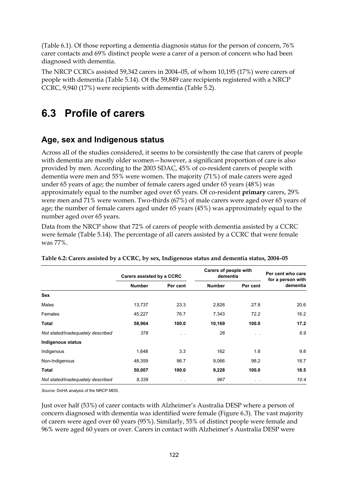(Table 6.1). Of those reporting a dementia diagnosis status for the person of concern, 76% carer contacts and 69% distinct people were a carer of a person of concern who had been diagnosed with dementia.

The NRCP CCRCs assisted 59,342 carers in 2004–05, of whom 10,195 (17%) were carers of people with dementia (Table 5.14). Of the 59,849 care recipients registered with a NRCP CCRC, 9,940 (17%) were recipients with dementia (Table 5.2).

# **6.3 Profile of carers**

### **Age, sex and Indigenous status**

Across all of the studies considered, it seems to be consistently the case that carers of people with dementia are mostly older women—however, a significant proportion of care is also provided by men. According to the 2003 SDAC, 45% of co-resident carers of people with dementia were men and 55% were women. The majority (71%) of male carers were aged under 65 years of age; the number of female carers aged under 65 years (48%) was approximately equal to the number aged over 65 years. Of co-resident **primary** carers, 29% were men and 71% were women. Two-thirds (67%) of male carers were aged over 65 years of age; the number of female carers aged under 65 years (45%) was approximately equal to the number aged over 65 years.

Data from the NRCP show that 72% of carers of people with dementia assisted by a CCRC were female (Table 5.14). The percentage of all carers assisted by a CCRC that were female was 77%.

|                                   | Carers assisted by a CCRC |                 | Carers of people with<br>dementia |          | Per cent who care<br>for a person with |  |
|-----------------------------------|---------------------------|-----------------|-----------------------------------|----------|----------------------------------------|--|
|                                   | <b>Number</b>             | Per cent        | <b>Number</b>                     | Per cent | dementia                               |  |
| Sex                               |                           |                 |                                   |          |                                        |  |
| Males                             | 13,737                    | 23.3            | 2,826                             | 27.8     | 20.6                                   |  |
| Females                           | 45,227                    | 76.7            | 7,343                             | 72.2     | 16.2                                   |  |
| Total                             | 58,964                    | 100.0           | 10,169                            | 100.0    | 17.2                                   |  |
| Not stated/inadequately described | 378                       | $\cdot$ $\cdot$ | 26                                | $\sim$   | 6.9                                    |  |
| Indigenous status                 |                           |                 |                                   |          |                                        |  |
| Indigenous                        | 1,648                     | 3.3             | 162                               | 1.8      | 9.8                                    |  |
| Non-Indigenous                    | 48,359                    | 96.7            | 9,066                             | 98.2     | 18.7                                   |  |
| Total                             | 50,007                    | 100.0           | 9,228                             | 100.0    | 18.5                                   |  |
| Not stated/inadequately described | 9.339                     | $\sim$ $-$      | 967                               | $\sim$   | 10.4                                   |  |

**Table 6.2: Carers assisted by a CCRC, by sex, Indigenous status and dementia status, 2004–05** 

*Source:* DoHA analysis of the NRCP MDS.

Just over half (53%) of carer contacts with Alzheimer's Australia DESP where a person of concern diagnosed with dementia was identified were female (Figure 6.3). The vast majority of carers were aged over 60 years (95%). Similarly, 55% of distinct people were female and 96% were aged 60 years or over. Carers in contact with Alzheimer's Australia DESP were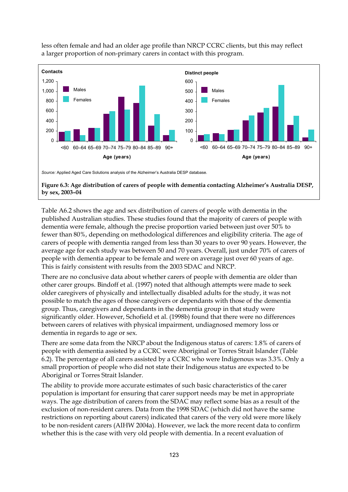

less often female and had an older age profile than NRCP CCRC clients, but this may reflect a larger proportion of non-primary carers in contact with this program.

**Figure 6.3: Age distribution of carers of people with dementia contacting Alzheimer's Australia DESP, by sex, 2003–04** 

Table A6.2 shows the age and sex distribution of carers of people with dementia in the published Australian studies. These studies found that the majority of carers of people with dementia were female, although the precise proportion varied between just over 50% to fewer than 80%, depending on methodological differences and eligibility criteria. The age of carers of people with dementia ranged from less than 30 years to over 90 years. However, the average age for each study was between 50 and 70 years. Overall, just under 70% of carers of people with dementia appear to be female and were on average just over 60 years of age. This is fairly consistent with results from the 2003 SDAC and NRCP.

There are no conclusive data about whether carers of people with dementia are older than other carer groups. Bindoff et al. (1997) noted that although attempts were made to seek older caregivers of physically and intellectually disabled adults for the study, it was not possible to match the ages of those caregivers or dependants with those of the dementia group. Thus, caregivers and dependants in the dementia group in that study were significantly older. However, Schofield et al. (1998b) found that there were no differences between carers of relatives with physical impairment, undiagnosed memory loss or dementia in regards to age or sex.

There are some data from the NRCP about the Indigenous status of carers: 1.8% of carers of people with dementia assisted by a CCRC were Aboriginal or Torres Strait Islander (Table 6.2). The percentage of all carers assisted by a CCRC who were Indigenous was 3.3%. Only a small proportion of people who did not state their Indigenous status are expected to be Aboriginal or Torres Strait Islander.

The ability to provide more accurate estimates of such basic characteristics of the carer population is important for ensuring that carer support needs may be met in appropriate ways. The age distribution of carers from the SDAC may reflect some bias as a result of the exclusion of non-resident carers. Data from the 1998 SDAC (which did not have the same restrictions on reporting about carers) indicated that carers of the very old were more likely to be non-resident carers (AIHW 2004a). However, we lack the more recent data to confirm whether this is the case with very old people with dementia. In a recent evaluation of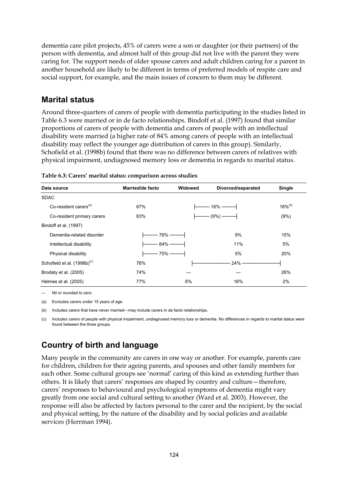dementia care pilot projects, 45% of carers were a son or daughter (or their partners) of the person with dementia, and almost half of this group did not live with the parent they were caring for. The support needs of older spouse carers and adult children caring for a parent in another household are likely to be different in terms of preferred models of respite care and social support, for example, and the main issues of concern to them may be different.

### **Marital status**

Around three-quarters of carers of people with dementia participating in the studies listed in Table 6.3 were married or in de facto relationships. Bindoff et al. (1997) found that similar proportions of carers of people with dementia and carers of people with an intellectual disability were married (a higher rate of 84% among carers of people with an intellectual disability may reflect the younger age distribution of carers in this group). Similarly, Schofield et al. (1998b) found that there was no difference between carers of relatives with physical impairment, undiagnosed memory loss or dementia in regards to marital status.

| Data source                             | Married/de facto | Widowed | Divorced/separated | Single                |
|-----------------------------------------|------------------|---------|--------------------|-----------------------|
| <b>SDAC</b>                             |                  |         |                    |                       |
| Co-resident carers <sup>(a)</sup>       | 67%              |         | $16% -$            | $18\%$ <sup>(b)</sup> |
| Co-resident primary carers              | 83%              |         | $(9\%) -$          | (9%)                  |
| Bindoff et al. (1997)                   |                  |         |                    |                       |
| Dementia-related disorder               | 76% -            |         | 9%                 | 15%                   |
| Intellectual disability                 | $84\%$ -         |         | 11%                | 5%                    |
| Physical disability                     | 75% -            |         | 5%                 | 20%                   |
| Schofield et al. (1998b) <sup>(c)</sup> | 76%              |         | 24%                |                       |
| Brodaty et al. (2005)                   | 74%              |         |                    | 26%                   |
| Helmes et al. (2005)                    | 77%              | 6%      | 16%                | 2%                    |

| Table 6.3: Carers' marital status: comparison across studies |  |  |
|--------------------------------------------------------------|--|--|
|                                                              |  |  |

— Nil or rounded to zero.

(a) Excludes carers under 15 years of age.

(b) Includes carers that have never married—may include carers in de facto relationships.

(c) Includes carers of people with physical impairment, undiagnosed memory loss or dementia. No differences in regards to marital status were found between the three groups.

# **Country of birth and language**

Many people in the community are carers in one way or another. For example, parents care for children, children for their ageing parents, and spouses and other family members for each other. Some cultural groups see 'normal' caring of this kind as extending further than others. It is likely that carers' responses are shaped by country and culture—therefore, carers' responses to behavioural and psychological symptoms of dementia might vary greatly from one social and cultural setting to another (Ward et al. 2003). However, the response will also be affected by factors personal to the carer and the recipient, by the social and physical setting, by the nature of the disability and by social policies and available services (Herrman 1994).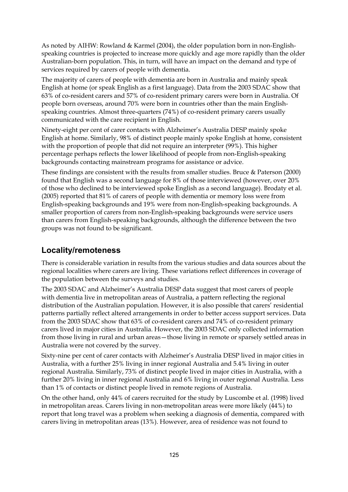As noted by AIHW: Rowland & Karmel (2004), the older population born in non-Englishspeaking countries is projected to increase more quickly and age more rapidly than the older Australian-born population. This, in turn, will have an impact on the demand and type of services required by carers of people with dementia.

The majority of carers of people with dementia are born in Australia and mainly speak English at home (or speak English as a first language). Data from the 2003 SDAC show that 63% of co-resident carers and 57% of co-resident primary carers were born in Australia. Of people born overseas, around 70% were born in countries other than the main Englishspeaking countries. Almost three-quarters (74%) of co-resident primary carers usually communicated with the care recipient in English.

Ninety-eight per cent of carer contacts with Alzheimer's Australia DESP mainly spoke English at home. Similarly, 98% of distinct people mainly spoke English at home, consistent with the proportion of people that did not require an interpreter (99%). This higher percentage perhaps reflects the lower likelihood of people from non-English-speaking backgrounds contacting mainstream programs for assistance or advice.

These findings are consistent with the results from smaller studies. Bruce & Paterson (2000) found that English was a second language for 8% of those interviewed (however, over 20% of those who declined to be interviewed spoke English as a second language). Brodaty et al. (2005) reported that 81% of carers of people with dementia or memory loss were from English-speaking backgrounds and 19% were from non-English-speaking backgrounds. A smaller proportion of carers from non-English-speaking backgrounds were service users than carers from English-speaking backgrounds, although the difference between the two groups was not found to be significant.

### **Locality/remoteness**

There is considerable variation in results from the various studies and data sources about the regional localities where carers are living. These variations reflect differences in coverage of the population between the surveys and studies.

The 2003 SDAC and Alzheimer's Australia DESP data suggest that most carers of people with dementia live in metropolitan areas of Australia, a pattern reflecting the regional distribution of the Australian population. However, it is also possible that carers' residential patterns partially reflect altered arrangements in order to better access support services. Data from the 2003 SDAC show that 63% of co-resident carers and 74% of co-resident primary carers lived in major cities in Australia. However, the 2003 SDAC only collected information from those living in rural and urban areas—those living in remote or sparsely settled areas in Australia were not covered by the survey.

Sixty-nine per cent of carer contacts with Alzheimer's Australia DESP lived in major cities in Australia, with a further 25% living in inner regional Australia and 5.4% living in outer regional Australia. Similarly, 73% of distinct people lived in major cities in Australia, with a further 20% living in inner regional Australia and 6% living in outer regional Australia. Less than 1% of contacts or distinct people lived in remote regions of Australia.

On the other hand, only 44% of carers recruited for the study by Luscombe et al. (1998) lived in metropolitan areas. Carers living in non-metropolitan areas were more likely (44%) to report that long travel was a problem when seeking a diagnosis of dementia, compared with carers living in metropolitan areas (13%). However, area of residence was not found to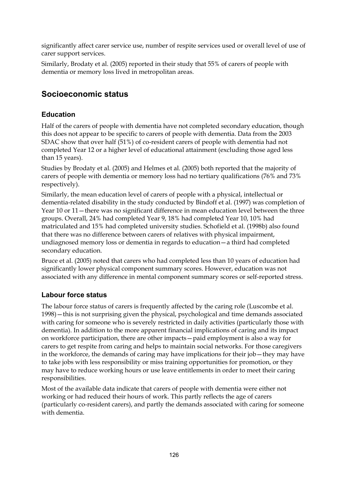significantly affect carer service use, number of respite services used or overall level of use of carer support services.

Similarly, Brodaty et al. (2005) reported in their study that 55% of carers of people with dementia or memory loss lived in metropolitan areas.

# **Socioeconomic status**

### **Education**

Half of the carers of people with dementia have not completed secondary education, though this does not appear to be specific to carers of people with dementia. Data from the 2003 SDAC show that over half (51%) of co-resident carers of people with dementia had not completed Year 12 or a higher level of educational attainment (excluding those aged less than 15 years).

Studies by Brodaty et al. (2005) and Helmes et al. (2005) both reported that the majority of carers of people with dementia or memory loss had no tertiary qualifications (76% and 73% respectively).

Similarly, the mean education level of carers of people with a physical, intellectual or dementia-related disability in the study conducted by Bindoff et al. (1997) was completion of Year 10 or 11—there was no significant difference in mean education level between the three groups. Overall, 24% had completed Year 9, 18% had completed Year 10, 10% had matriculated and 15% had completed university studies. Schofield et al. (1998b) also found that there was no difference between carers of relatives with physical impairment, undiagnosed memory loss or dementia in regards to education—a third had completed secondary education.

Bruce et al. (2005) noted that carers who had completed less than 10 years of education had significantly lower physical component summary scores. However, education was not associated with any difference in mental component summary scores or self-reported stress.

#### **Labour force status**

The labour force status of carers is frequently affected by the caring role (Luscombe et al. 1998)—this is not surprising given the physical, psychological and time demands associated with caring for someone who is severely restricted in daily activities (particularly those with dementia). In addition to the more apparent financial implications of caring and its impact on workforce participation, there are other impacts—paid employment is also a way for carers to get respite from caring and helps to maintain social networks. For those caregivers in the workforce, the demands of caring may have implications for their job—they may have to take jobs with less responsibility or miss training opportunities for promotion, or they may have to reduce working hours or use leave entitlements in order to meet their caring responsibilities.

Most of the available data indicate that carers of people with dementia were either not working or had reduced their hours of work. This partly reflects the age of carers (particularly co-resident carers), and partly the demands associated with caring for someone with dementia.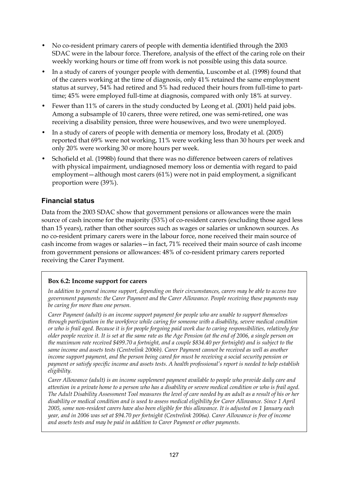- No co-resident primary carers of people with dementia identified through the 2003 SDAC were in the labour force. Therefore, analysis of the effect of the caring role on their weekly working hours or time off from work is not possible using this data source.
- In a study of carers of younger people with dementia, Luscombe et al. (1998) found that of the carers working at the time of diagnosis, only 41% retained the same employment status at survey, 54% had retired and 5% had reduced their hours from full-time to parttime; 45% were employed full-time at diagnosis, compared with only 18% at survey.
- Fewer than 11% of carers in the study conducted by Leong et al. (2001) held paid jobs. Among a subsample of 10 carers, three were retired, one was semi-retired, one was receiving a disability pension, three were housewives, and two were unemployed.
- In a study of carers of people with dementia or memory loss, Brodaty et al. (2005) reported that 69% were not working, 11% were working less than 30 hours per week and only 20% were working 30 or more hours per week.
- Schofield et al. (1998b) found that there was no difference between carers of relatives with physical impairment, undiagnosed memory loss or dementia with regard to paid employment—although most carers (61%) were not in paid employment, a significant proportion were (39%).

#### **Financial status**

Data from the 2003 SDAC show that government pensions or allowances were the main source of cash income for the majority (53%) of co-resident carers (excluding those aged less than 15 years), rather than other sources such as wages or salaries or unknown sources. As no co-resident primary carers were in the labour force, none received their main source of cash income from wages or salaries—in fact, 71% received their main source of cash income from government pensions or allowances: 48% of co-resident primary carers reported receiving the Carer Payment.

#### **Box 6.2: Income support for carers**

*In addition to general income support, depending on their circumstances, carers may be able to access two government payments: the Carer Payment and the Carer Allowance. People receiving these payments may be caring for more than one person.* 

*Carer Payment (adult) is an income support payment for people who are unable to support themselves through participation in the workforce while caring for someone with a disability, severe medical condition or who is frail aged. Because it is for people forgoing paid work due to caring responsibilities, relatively few older people receive it. It is set at the same rate as the Age Pension (at the end of 2006, a single person on the maximum rate received \$499.70 a fortnight, and a couple \$834.40 per fortnight) and is subject to the same income and assets tests (Centrelink 2006b). Carer Payment cannot be received as well as another income support payment, and the person being cared for must be receiving a social security pension or payment or satisfy specific income and assets tests. A health professional's report is needed to help establish eligibility.* 

*Carer Allowance (adult) is an income supplement payment available to people who provide daily care and attention in a private home to a person who has a disability or severe medical condition or who is frail aged. The Adult Disability Assessment Tool measures the level of care needed by an adult as a result of his or her disability or medical condition and is used to assess medical eligibility for Carer Allowance. Since 1 April 2005, some non-resident carers have also been eligible for this allowance. It is adjusted on 1 January each year, and in 2006 was set at \$94.70 per fortnight (Centrelink 2006a). Carer Allowance is free of income and assets tests and may be paid in addition to Carer Payment or other payments.*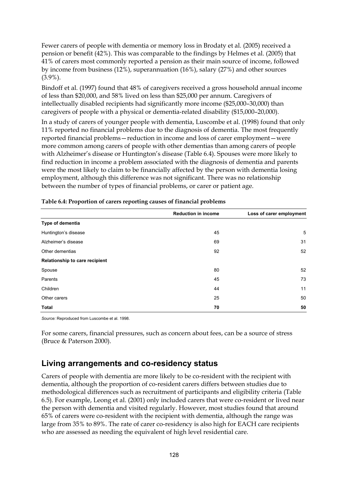Fewer carers of people with dementia or memory loss in Brodaty et al. (2005) received a pension or benefit (42%). This was comparable to the findings by Helmes et al. (2005) that 41% of carers most commonly reported a pension as their main source of income, followed by income from business (12%), superannuation (16%), salary (27%) and other sources (3.9%).

Bindoff et al. (1997) found that 48% of caregivers received a gross household annual income of less than \$20,000, and 58% lived on less than \$25,000 per annum. Caregivers of intellectually disabled recipients had significantly more income (\$25,000–30,000) than caregivers of people with a physical or dementia-related disability (\$15,000–20,000).

In a study of carers of younger people with dementia, Luscombe et al. (1998) found that only 11% reported no financial problems due to the diagnosis of dementia. The most frequently reported financial problems—reduction in income and loss of carer employment—were more common among carers of people with other dementias than among carers of people with Alzheimer's disease or Huntington's disease (Table 6.4). Spouses were more likely to find reduction in income a problem associated with the diagnosis of dementia and parents were the most likely to claim to be financially affected by the person with dementia losing employment, although this difference was not significant. There was no relationship between the number of types of financial problems, or carer or patient age.

|                                | <b>Reduction in income</b> | Loss of carer employment |
|--------------------------------|----------------------------|--------------------------|
| Type of dementia               |                            |                          |
| Huntington's disease           | 45                         | 5                        |
| Alzheimer's disease            | 69                         | 31                       |
| Other dementias                | 92                         | 52                       |
| Relationship to care recipient |                            |                          |
| Spouse                         | 80                         | 52                       |
| Parents                        | 45                         | 73                       |
| Children                       | 44                         | 11                       |
| Other carers                   | 25                         | 50                       |
| <b>Total</b>                   | 70                         | 50                       |

|  | Table 6.4: Proportion of carers reporting causes of financial problems |  |
|--|------------------------------------------------------------------------|--|
|  |                                                                        |  |

*Source:* Reproduced from Luscombe et al. 1998.

For some carers, financial pressures, such as concern about fees, can be a source of stress (Bruce & Paterson 2000).

#### **Living arrangements and co-residency status**

Carers of people with dementia are more likely to be co-resident with the recipient with dementia, although the proportion of co-resident carers differs between studies due to methodological differences such as recruitment of participants and eligibility criteria (Table 6.5). For example, Leong et al. (2001) only included carers that were co-resident or lived near the person with dementia and visited regularly. However, most studies found that around 65% of carers were co-resident with the recipient with dementia, although the range was large from 35% to 89%. The rate of carer co-residency is also high for EACH care recipients who are assessed as needing the equivalent of high level residential care.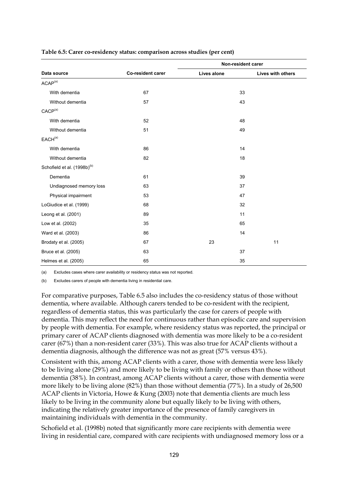|                                         |                          |             | Non-resident carer |
|-----------------------------------------|--------------------------|-------------|--------------------|
| Data source                             | <b>Co-resident carer</b> | Lives alone | Lives with others  |
| ACAP <sup>(a)</sup>                     |                          |             |                    |
| With dementia                           | 67                       |             | 33                 |
| Without dementia                        | 57                       |             | 43                 |
| CACP <sup>(a)</sup>                     |                          |             |                    |
| With dementia                           | 52                       |             | 48                 |
| Without dementia                        | 51                       |             | 49                 |
| EACH <sup>(a)</sup>                     |                          |             |                    |
| With dementia                           | 86                       |             | 14                 |
| Without dementia                        | 82                       |             | 18                 |
| Schofield et al. (1998b) <sup>(b)</sup> |                          |             |                    |
| Dementia                                | 61                       |             | 39                 |
| Undiagnosed memory loss                 | 63                       |             | 37                 |
| Physical impairment                     | 53                       |             | 47                 |
| LoGiudice et al. (1999)                 | 68                       |             | 32                 |
| Leong et al. (2001)                     | 89                       |             | 11                 |
| Low et al. (2002)                       | 35                       |             | 65                 |
| Ward et al. (2003)                      | 86                       |             | 14                 |
| Brodaty et al. (2005)                   | 67                       | 23          | 11                 |
| Bruce et al. (2005)                     | 63                       |             | 37                 |
| Helmes et al. (2005)                    | 65                       |             | 35                 |

#### **Table 6.5: Carer co-residency status: comparison across studies (per cent)**

(a) Excludes cases where carer availability or residency status was not reported.

(b) Excludes carers of people with dementia living in residential care.

For comparative purposes, Table 6.5 also includes the co-residency status of those without dementia, where available. Although carers tended to be co-resident with the recipient, regardless of dementia status, this was particularly the case for carers of people with dementia. This may reflect the need for continuous rather than episodic care and supervision by people with dementia. For example, where residency status was reported, the principal or primary carer of ACAP clients diagnosed with dementia was more likely to be a co-resident carer (67%) than a non-resident carer (33%). This was also true for ACAP clients without a dementia diagnosis, although the difference was not as great (57% versus 43%).

Consistent with this, among ACAP clients with a carer, those with dementia were less likely to be living alone (29%) and more likely to be living with family or others than those without dementia (38%). In contrast, among ACAP clients without a carer, those with dementia were more likely to be living alone (82%) than those without dementia (77%). In a study of 26,500 ACAP clients in Victoria, Howe & Kung (2003) note that dementia clients are much less likely to be living in the community alone but equally likely to be living with others, indicating the relatively greater importance of the presence of family caregivers in maintaining individuals with dementia in the community.

Schofield et al. (1998b) noted that significantly more care recipients with dementia were living in residential care, compared with care recipients with undiagnosed memory loss or a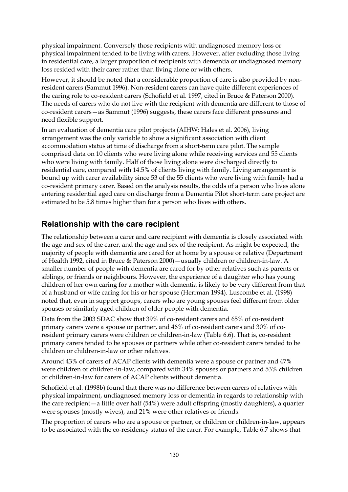physical impairment. Conversely those recipients with undiagnosed memory loss or physical impairment tended to be living with carers. However, after excluding those living in residential care, a larger proportion of recipients with dementia or undiagnosed memory loss resided with their carer rather than living alone or with others.

However, it should be noted that a considerable proportion of care is also provided by nonresident carers (Sammut 1996). Non-resident carers can have quite different experiences of the caring role to co-resident carers (Schofield et al. 1997, cited in Bruce & Paterson 2000). The needs of carers who do not live with the recipient with dementia are different to those of co-resident carers—as Sammut (1996) suggests, these carers face different pressures and need flexible support.

In an evaluation of dementia care pilot projects (AIHW: Hales et al. 2006), living arrangement was the only variable to show a significant association with client accommodation status at time of discharge from a short-term care pilot. The sample comprised data on 10 clients who were living alone while receiving services and 55 clients who were living with family. Half of those living alone were discharged directly to residential care, compared with 14.5% of clients living with family. Living arrangement is bound up with carer availability since 53 of the 55 clients who were living with family had a co-resident primary carer. Based on the analysis results, the odds of a person who lives alone entering residential aged care on discharge from a Dementia Pilot short-term care project are estimated to be 5.8 times higher than for a person who lives with others.

### **Relationship with the care recipient**

The relationship between a carer and care recipient with dementia is closely associated with the age and sex of the carer, and the age and sex of the recipient. As might be expected, the majority of people with dementia are cared for at home by a spouse or relative (Department of Health 1992, cited in Bruce & Paterson 2000)—usually children or children-in-law. A smaller number of people with dementia are cared for by other relatives such as parents or siblings, or friends or neighbours. However, the experience of a daughter who has young children of her own caring for a mother with dementia is likely to be very different from that of a husband or wife caring for his or her spouse (Herrman 1994). Luscombe et al. (1998) noted that, even in support groups, carers who are young spouses feel different from older spouses or similarly aged children of older people with dementia.

Data from the 2003 SDAC show that 39% of co-resident carers and 65% of co-resident primary carers were a spouse or partner, and 46% of co-resident carers and 30% of coresident primary carers were children or children-in-law (Table 6.6). That is, co-resident primary carers tended to be spouses or partners while other co-resident carers tended to be children or children-in-law or other relatives.

Around 43% of carers of ACAP clients with dementia were a spouse or partner and 47% were children or children-in-law, compared with 34% spouses or partners and 53% children or children-in-law for carers of ACAP clients without dementia.

Schofield et al. (1998b) found that there was no difference between carers of relatives with physical impairment, undiagnosed memory loss or dementia in regards to relationship with the care recipient—a little over half (54%) were adult offspring (mostly daughters), a quarter were spouses (mostly wives), and 21% were other relatives or friends.

The proportion of carers who are a spouse or partner, or children or children-in-law, appears to be associated with the co-residency status of the carer. For example, Table 6.7 shows that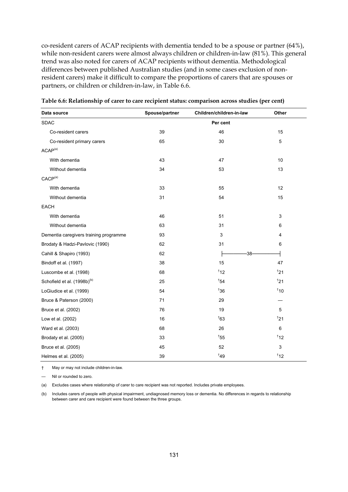co-resident carers of ACAP recipients with dementia tended to be a spouse or partner (64%), while non-resident carers were almost always children or children-in-law (81%). This general trend was also noted for carers of ACAP recipients without dementia. Methodological differences between published Australian studies (and in some cases exclusion of nonresident carers) make it difficult to compare the proportions of carers that are spouses or partners, or children or children-in-law, in Table 6.6.

| Data source                             | Spouse/partner | Children/children-in-law | Other |
|-----------------------------------------|----------------|--------------------------|-------|
| <b>SDAC</b>                             |                | Per cent                 |       |
| Co-resident carers                      | 39             | 46                       | 15    |
| Co-resident primary carers              | 65             | 30                       | 5     |
| ACAP <sup>(a)</sup>                     |                |                          |       |
| With dementia                           | 43             | 47                       | 10    |
| Without dementia                        | 34             | 53                       | 13    |
| $CACP^{(a)}$                            |                |                          |       |
| With dementia                           | 33             | 55                       | 12    |
| Without dementia                        | 31             | 54                       | 15    |
| <b>EACH</b>                             |                |                          |       |
| With dementia                           | 46             | 51                       | 3     |
| Without dementia                        | 63             | 31                       | 6     |
| Dementia caregivers training programme  | 93             | 3                        | 4     |
| Brodaty & Hadzi-Pavlovic (1990)         | 62             | 31                       | 6     |
| Cahill & Shapiro (1993)                 | 62             | $-38-$                   |       |
| Bindoff et al. (1997)                   | 38             | 15                       | 47    |
| Luscombe et al. (1998)                  | 68             | 112                      | 121   |
| Schofield et al. (1998b) <sup>(b)</sup> | 25             | 154                      | 121   |
| LoGiudice et al. (1999)                 | 54             | 36                       | 110   |
| Bruce & Paterson (2000)                 | 71             | 29                       |       |
| Bruce et al. (2002)                     | 76             | 19                       | 5     |
| Low et al. (2002)                       | 16             | $\overline{6}3$          | 121   |
| Ward et al. (2003)                      | 68             | 26                       | 6     |
| Brodaty et al. (2005)                   | 33             | $^{\dagger}55$           | 112   |
| Bruce et al. (2005)                     | 45             | 52                       | 3     |
| Helmes et al. (2005)                    | 39             | 49                       | 112   |

**Table 6.6: Relationship of carer to care recipient status: comparison across studies (per cent)** 

† May or may not include children-in-law.

— Nil or rounded to zero.

(a) Excludes cases where relationship of carer to care recipient was not reported. Includes private employees.

(b) Includes carers of people with physical impairment, undiagnosed memory loss or dementia. No differences in regards to relationship between carer and care recipient were found between the three groups.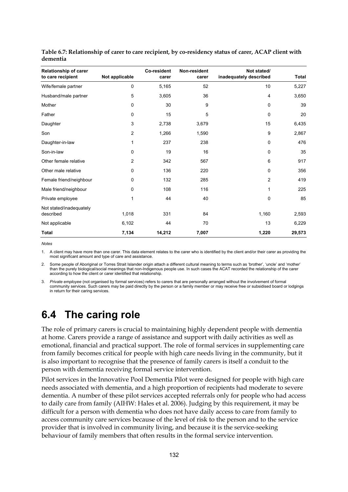| <b>Relationship of carer</b><br>to care recipient | Not applicable | Co-resident<br>carer | Non-resident<br>carer | Not stated/<br>inadequately described | <b>Total</b> |
|---------------------------------------------------|----------------|----------------------|-----------------------|---------------------------------------|--------------|
| Wife/female partner                               | 0              | 5,165                | 52                    | 10                                    | 5,227        |
| Husband/male partner                              | 5              | 3,605                | 36                    | 4                                     | 3,650        |
| Mother                                            | 0              | 30                   | 9                     | 0                                     | 39           |
| Father                                            | 0              | 15                   | 5                     | 0                                     | 20           |
| Daughter                                          | 3              | 2,738                | 3,679                 | 15                                    | 6,435        |
| Son                                               | 2              | 1,266                | 1,590                 | 9                                     | 2,867        |
| Daughter-in-law                                   | 1              | 237                  | 238                   | 0                                     | 476          |
| Son-in-law                                        | 0              | 19                   | 16                    | 0                                     | 35           |
| Other female relative                             | 2              | 342                  | 567                   | 6                                     | 917          |
| Other male relative                               | 0              | 136                  | 220                   | 0                                     | 356          |
| Female friend/neighbour                           | 0              | 132                  | 285                   | 2                                     | 419          |
| Male friend/neighbour                             | 0              | 108                  | 116                   | 1                                     | 225          |
| Private employee                                  | 1              | 44                   | 40                    | 0                                     | 85           |
| Not stated/inadequately<br>described              | 1,018          | 331                  | 84                    | 1,160                                 | 2,593        |
| Not applicable                                    | 6,102          | 44                   | 70                    | 13                                    | 6,229        |
| <b>Total</b>                                      | 7,134          | 14,212               | 7,007                 | 1,220                                 | 29,573       |

**Table 6.7: Relationship of carer to care recipient, by co-residency status of carer, ACAP client with dementia** 

*Notes* 

1. A client may have more than one carer. This data element relates to the carer who is identified by the client and/or their carer as providing the most significant amount and type of care and assistance.

2. Some people of Aboriginal or Torres Strait Islander origin attach a different cultural meaning to terms such as 'brother', 'uncle' and 'mother' than the purely biological/social meanings that non-Indigenous people use. In such cases the ACAT recorded the relationship of the carer according to how the client or carer identified that relationship.

3. *Private employee* (not organised by formal services) refers to carers that are personally arranged without the involvement of formal community services. Such carers may be paid directly by the person or a family member or may receive free or subsidised board or lodgings in return for their caring services.

# **6.4 The caring role**

The role of primary carers is crucial to maintaining highly dependent people with dementia at home. Carers provide a range of assistance and support with daily activities as well as emotional, financial and practical support. The role of formal services in supplementing care from family becomes critical for people with high care needs living in the community, but it is also important to recognise that the presence of family carers is itself a conduit to the person with dementia receiving formal service intervention.

Pilot services in the Innovative Pool Dementia Pilot were designed for people with high care needs associated with dementia, and a high proportion of recipients had moderate to severe dementia. A number of these pilot services accepted referrals only for people who had access to daily care from family (AIHW: Hales et al. 2006). Judging by this requirement, it may be difficult for a person with dementia who does not have daily access to care from family to access community care services because of the level of risk to the person and to the service provider that is involved in community living, and because it is the service-seeking behaviour of family members that often results in the formal service intervention.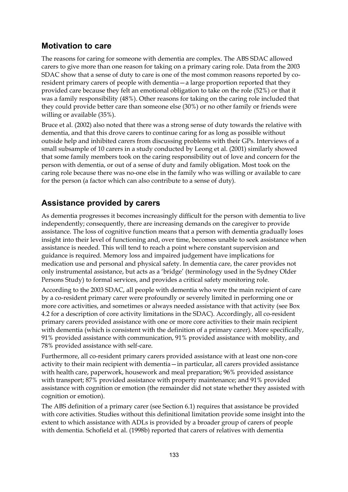## **Motivation to care**

The reasons for caring for someone with dementia are complex. The ABS SDAC allowed carers to give more than one reason for taking on a primary caring role. Data from the 2003 SDAC show that a sense of duty to care is one of the most common reasons reported by coresident primary carers of people with dementia—a large proportion reported that they provided care because they felt an emotional obligation to take on the role (52%) or that it was a family responsibility (48%). Other reasons for taking on the caring role included that they could provide better care than someone else (30%) or no other family or friends were willing or available (35%).

Bruce et al. (2002) also noted that there was a strong sense of duty towards the relative with dementia, and that this drove carers to continue caring for as long as possible without outside help and inhibited carers from discussing problems with their GPs. Interviews of a small subsample of 10 carers in a study conducted by Leong et al. (2001) similarly showed that some family members took on the caring responsibility out of love and concern for the person with dementia, or out of a sense of duty and family obligation. Most took on the caring role because there was no-one else in the family who was willing or available to care for the person (a factor which can also contribute to a sense of duty).

# **Assistance provided by carers**

As dementia progresses it becomes increasingly difficult for the person with dementia to live independently; consequently, there are increasing demands on the caregiver to provide assistance. The loss of cognitive function means that a person with dementia gradually loses insight into their level of functioning and, over time, becomes unable to seek assistance when assistance is needed. This will tend to reach a point where constant supervision and guidance is required. Memory loss and impaired judgement have implications for medication use and personal and physical safety. In dementia care, the carer provides not only instrumental assistance, but acts as a 'bridge' (terminology used in the Sydney Older Persons Study) to formal services, and provides a critical safety monitoring role.

According to the 2003 SDAC, all people with dementia who were the main recipient of care by a co-resident primary carer were profoundly or severely limited in performing one or more core activities, and sometimes or always needed assistance with that activity (see Box 4.2 for a description of core activity limitations in the SDAC). Accordingly, all co-resident primary carers provided assistance with one or more core activities to their main recipient with dementia (which is consistent with the definition of a primary carer). More specifically, 91% provided assistance with communication, 91% provided assistance with mobility, and 78% provided assistance with self-care.

Furthermore, all co-resident primary carers provided assistance with at least one non-core activity to their main recipient with dementia—in particular, all carers provided assistance with health care, paperwork, housework and meal preparation; 96% provided assistance with transport; 87% provided assistance with property maintenance; and 91% provided assistance with cognition or emotion (the remainder did not state whether they assisted with cognition or emotion).

The ABS definition of a primary carer (see Section 6.1) requires that assistance be provided with core activities. Studies without this definitional limitation provide some insight into the extent to which assistance with ADLs is provided by a broader group of carers of people with dementia. Schofield et al. (1998b) reported that carers of relatives with dementia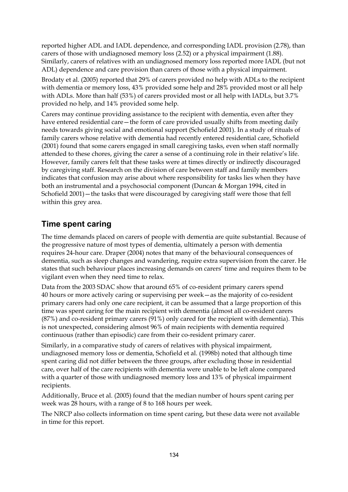reported higher ADL and IADL dependence, and corresponding IADL provision (2.78), than carers of those with undiagnosed memory loss (2.52) or a physical impairment (1.88). Similarly, carers of relatives with an undiagnosed memory loss reported more IADL (but not ADL) dependence and care provision than carers of those with a physical impairment.

Brodaty et al. (2005) reported that 29% of carers provided no help with ADLs to the recipient with dementia or memory loss, 43% provided some help and 28% provided most or all help with ADLs. More than half (53%) of carers provided most or all help with IADLs, but 3.7% provided no help, and 14% provided some help.

Carers may continue providing assistance to the recipient with dementia, even after they have entered residential care—the form of care provided usually shifts from meeting daily needs towards giving social and emotional support (Schofield 2001). In a study of rituals of family carers whose relative with dementia had recently entered residential care, Schofield (2001) found that some carers engaged in small caregiving tasks, even when staff normally attended to these chores, giving the carer a sense of a continuing role in their relative's life. However, family carers felt that these tasks were at times directly or indirectly discouraged by caregiving staff. Research on the division of care between staff and family members indicates that confusion may arise about where responsibility for tasks lies when they have both an instrumental and a psychosocial component (Duncan & Morgan 1994, cited in Schofield 2001)—the tasks that were discouraged by caregiving staff were those that fell within this grey area.

# **Time spent caring**

The time demands placed on carers of people with dementia are quite substantial. Because of the progressive nature of most types of dementia, ultimately a person with dementia requires 24-hour care. Draper (2004) notes that many of the behavioural consequences of dementia, such as sleep changes and wandering, require extra supervision from the carer. He states that such behaviour places increasing demands on carers' time and requires them to be vigilant even when they need time to relax.

Data from the 2003 SDAC show that around 65% of co-resident primary carers spend 40 hours or more actively caring or supervising per week—as the majority of co-resident primary carers had only one care recipient, it can be assumed that a large proportion of this time was spent caring for the main recipient with dementia (almost all co-resident carers (87%) and co-resident primary carers (91%) only cared for the recipient with dementia). This is not unexpected, considering almost 96% of main recipients with dementia required continuous (rather than episodic) care from their co-resident primary carer.

Similarly, in a comparative study of carers of relatives with physical impairment, undiagnosed memory loss or dementia, Schofield et al. (1998b) noted that although time spent caring did not differ between the three groups, after excluding those in residential care, over half of the care recipients with dementia were unable to be left alone compared with a quarter of those with undiagnosed memory loss and 13% of physical impairment recipients.

Additionally, Bruce et al. (2005) found that the median number of hours spent caring per week was 28 hours, with a range of 8 to 168 hours per week.

The NRCP also collects information on time spent caring, but these data were not available in time for this report.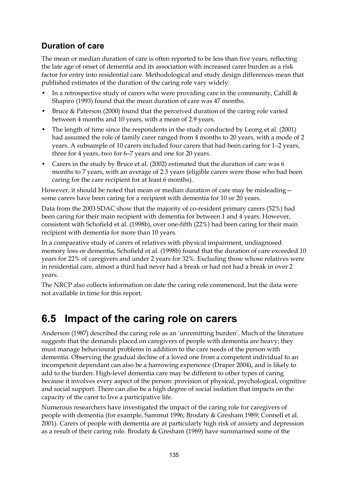# **Duration of care**

The mean or median duration of care is often reported to be less than five years, reflecting the late age of onset of dementia and its association with increased carer burden as a risk factor for entry into residential care. Methodological and study design differences mean that published estimates of the duration of the caring role vary widely:

- In a retrospective study of carers who were providing care in the community, Cahill  $\&$ Shapiro (1993) found that the mean duration of care was 47 months.
- Bruce & Paterson (2000) found that the perceived duration of the caring role varied between 4 months and 10 years, with a mean of 2.9 years.
- The length of time since the respondents in the study conducted by Leong et al. (2001) had assumed the role of family carer ranged from 4 months to 20 years, with a mode of 2 years. A subsample of 10 carers included four carers that had been caring for 1–2 years, three for 4 years, two for 6–7 years and one for 20 years.
- Carers in the study by Bruce et al. (2002) estimated that the duration of care was 6 months to 7 years, with an average of 2.3 years (eligible carers were those who had been caring for the care recipient for at least 6 months).

However, it should be noted that mean or median duration of care may be misleading some carers have been caring for a recipient with dementia for 10 or 20 years.

Data from the 2003 SDAC show that the majority of co-resident primary carers (52%) had been caring for their main recipient with dementia for between 1 and 4 years. However, consistent with Schofield et al. (1998b), over one-fifth (22%) had been caring for their main recipient with dementia for more than 10 years.

In a comparative study of carers of relatives with physical impairment, undiagnosed memory loss or dementia, Schofield et al. (1998b) found that the duration of care exceeded 10 years for 22% of caregivers and under 2 years for 32%. Excluding those whose relatives were in residential care, almost a third had never had a break or had not had a break in over 2 years.

The NRCP also collects information on date the caring role commenced, but the data were not available in time for this report.

# **6.5 Impact of the caring role on carers**

Anderson (1987) described the caring role as an 'unremitting burden'. Much of the literature suggests that the demands placed on caregivers of people with dementia are heavy; they must manage behavioural problems in addition to the care needs of the person with dementia. Observing the gradual decline of a loved one from a competent individual to an incompetent dependant can also be a harrowing experience (Draper 2004), and is likely to add to the burden. High-level dementia care may be different to other types of caring because it involves every aspect of the person: provision of physical, psychological, cognitive and social support. There can also be a high degree of social isolation that impacts on the capacity of the carer to live a participative life.

Numerous researchers have investigated the impact of the caring role for caregivers of people with dementia (for example, Sammut 1996; Brodaty & Gresham 1989; Connell et al. 2001). Carers of people with dementia are at particularly high risk of anxiety and depression as a result of their caring role. Brodaty & Gresham (1989) have summarised some of the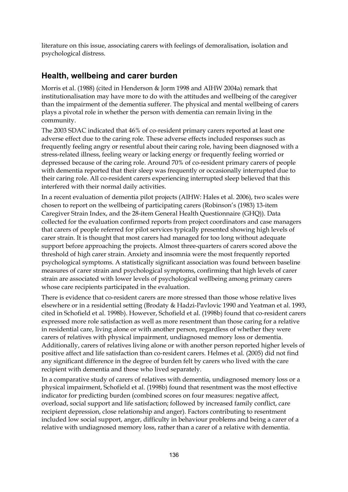literature on this issue, associating carers with feelings of demoralisation, isolation and psychological distress.

### **Health, wellbeing and carer burden**

Morris et al. (1988) (cited in Henderson & Jorm 1998 and AIHW 2004a) remark that institutionalisation may have more to do with the attitudes and wellbeing of the caregiver than the impairment of the dementia sufferer. The physical and mental wellbeing of carers plays a pivotal role in whether the person with dementia can remain living in the community.

The 2003 SDAC indicated that 46% of co-resident primary carers reported at least one adverse effect due to the caring role. These adverse effects included responses such as frequently feeling angry or resentful about their caring role, having been diagnosed with a stress-related illness, feeling weary or lacking energy or frequently feeling worried or depressed because of the caring role. Around 70% of co-resident primary carers of people with dementia reported that their sleep was frequently or occasionally interrupted due to their caring role. All co-resident carers experiencing interrupted sleep believed that this interfered with their normal daily activities.

In a recent evaluation of dementia pilot projects (AIHW: Hales et al. 2006), two scales were chosen to report on the wellbeing of participating carers (Robinson's (1983) 13-item Caregiver Strain Index, and the 28-item General Health Questionnaire (GHQ)). Data collected for the evaluation confirmed reports from project coordinators and case managers that carers of people referred for pilot services typically presented showing high levels of carer strain. It is thought that most carers had managed for too long without adequate support before approaching the projects. Almost three-quarters of carers scored above the threshold of high carer strain. Anxiety and insomnia were the most frequently reported psychological symptoms. A statistically significant association was found between baseline measures of carer strain and psychological symptoms, confirming that high levels of carer strain are associated with lower levels of psychological wellbeing among primary carers whose care recipients participated in the evaluation.

There is evidence that co-resident carers are more stressed than those whose relative lives elsewhere or in a residential setting (Brodaty & Hadzi-Pavlovic 1990 and Yeatman et al. 1993, cited in Schofield et al. 1998b). However, Schofield et al. (1998b) found that co-resident carers expressed more role satisfaction as well as more resentment than those caring for a relative in residential care, living alone or with another person, regardless of whether they were carers of relatives with physical impairment, undiagnosed memory loss or dementia. Additionally, carers of relatives living alone or with another person reported higher levels of positive affect and life satisfaction than co-resident carers. Helmes et al. (2005) did not find any significant difference in the degree of burden felt by carers who lived with the care recipient with dementia and those who lived separately.

In a comparative study of carers of relatives with dementia, undiagnosed memory loss or a physical impairment, Schofield et al. (1998b) found that resentment was the most effective indicator for predicting burden (combined scores on four measures: negative affect, overload, social support and life satisfaction; followed by increased family conflict, care recipient depression, close relationship and anger). Factors contributing to resentment included low social support, anger, difficulty in behaviour problems and being a carer of a relative with undiagnosed memory loss, rather than a carer of a relative with dementia.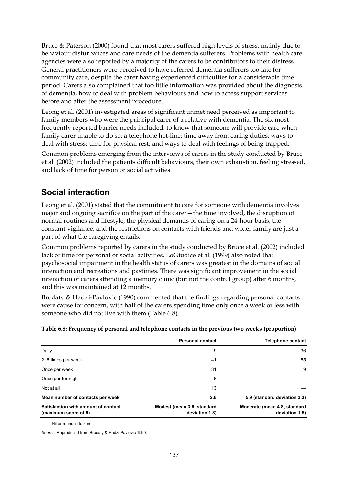Bruce & Paterson (2000) found that most carers suffered high levels of stress, mainly due to behaviour disturbances and care needs of the dementia sufferers. Problems with health care agencies were also reported by a majority of the carers to be contributors to their distress. General practitioners were perceived to have referred dementia sufferers too late for community care, despite the carer having experienced difficulties for a considerable time period. Carers also complained that too little information was provided about the diagnosis of dementia, how to deal with problem behaviours and how to access support services before and after the assessment procedure.

Leong et al. (2001) investigated areas of significant unmet need perceived as important to family members who were the principal carer of a relative with dementia. The six most frequently reported barrier needs included: to know that someone will provide care when family carer unable to do so; a telephone hot-line; time away from caring duties; ways to deal with stress; time for physical rest; and ways to deal with feelings of being trapped.

Common problems emerging from the interviews of carers in the study conducted by Bruce et al. (2002) included the patients difficult behaviours, their own exhaustion, feeling stressed, and lack of time for person or social activities.

# **Social interaction**

Leong et al. (2001) stated that the commitment to care for someone with dementia involves major and ongoing sacrifice on the part of the carer—the time involved, the disruption of normal routines and lifestyle, the physical demands of caring on a 24-hour basis, the constant vigilance, and the restrictions on contacts with friends and wider family are just a part of what the caregiving entails.

Common problems reported by carers in the study conducted by Bruce et al. (2002) included lack of time for personal or social activities. LoGiudice et al. (1999) also noted that psychosocial impairment in the health status of carers was greatest in the domains of social interaction and recreations and pastimes. There was significant improvement in the social interaction of carers attending a memory clinic (but not the control group) after 6 months, and this was maintained at 12 months.

Brodaty & Hadzi-Pavlovic (1990) commented that the findings regarding personal contacts were cause for concern, with half of the carers spending time only once a week or less with someone who did not live with them (Table 6.8).

| Devenuel contact                                                                               | Talanhana aanta |
|------------------------------------------------------------------------------------------------|-----------------|
| Table 6.8: Frequency of personal and telephone contacts in the previous two weeks (proportion) |                 |

|                                                             | <b>Personal contact</b>                      | <b>Telephone contact</b>                       |
|-------------------------------------------------------------|----------------------------------------------|------------------------------------------------|
| Daily                                                       | 9                                            | 36                                             |
| 2–6 times per week                                          | 41                                           | 55                                             |
| Once per week                                               | 31                                           | 9                                              |
| Once per fortnight                                          | 6                                            |                                                |
| Not at all                                                  | 13                                           |                                                |
| Mean number of contacts per week                            | 2.6                                          | 5.9 (standard deviation 3.3)                   |
| Satisfaction with amount of contact<br>(maximum score of 6) | Modest (mean 3.6, standard<br>deviation 1.8) | Moderate (mean 4.8, standard<br>deviation 1.5) |

— Nil or rounded to zero.

*Source:* Reproduced from Brodaty & Hadzi-Pavlovic 1990.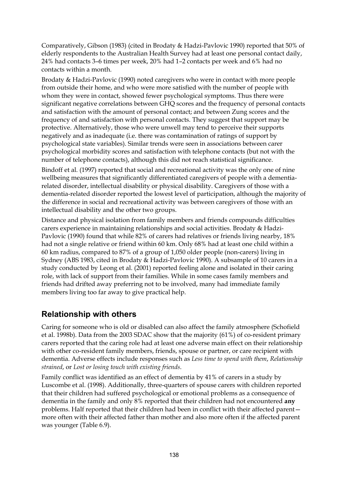Comparatively, Gibson (1983) (cited in Brodaty & Hadzi-Pavlovic 1990) reported that 50% of elderly respondents to the Australian Health Survey had at least one personal contact daily, 24% had contacts 3–6 times per week, 20% had 1–2 contacts per week and 6% had no contacts within a month.

Brodaty & Hadzi-Pavlovic (1990) noted caregivers who were in contact with more people from outside their home, and who were more satisfied with the number of people with whom they were in contact, showed fewer psychological symptoms. Thus there were significant negative correlations between GHQ scores and the frequency of personal contacts and satisfaction with the amount of personal contact; and between Zung scores and the frequency of and satisfaction with personal contacts. They suggest that support may be protective. Alternatively, those who were unwell may tend to perceive their supports negatively and as inadequate (i.e. there was contamination of ratings of support by psychological state variables). Similar trends were seen in associations between carer psychological morbidity scores and satisfaction with telephone contacts (but not with the number of telephone contacts), although this did not reach statistical significance.

Bindoff et al. (1997) reported that social and recreational activity was the only one of nine wellbeing measures that significantly differentiated caregivers of people with a dementiarelated disorder, intellectual disability or physical disability. Caregivers of those with a dementia-related disorder reported the lowest level of participation, although the majority of the difference in social and recreational activity was between caregivers of those with an intellectual disability and the other two groups.

Distance and physical isolation from family members and friends compounds difficulties carers experience in maintaining relationships and social activities. Brodaty & Hadzi-Pavlovic (1990) found that while 82% of carers had relatives or friends living nearby, 18% had not a single relative or friend within 60 km. Only 68% had at least one child within a 60 km radius, compared to 87% of a group of 1,050 older people (non-carers) living in Sydney (ABS 1983, cited in Brodaty & Hadzi-Pavlovic 1990). A subsample of 10 carers in a study conducted by Leong et al. (2001) reported feeling alone and isolated in their caring role, with lack of support from their families. While in some cases family members and friends had drifted away preferring not to be involved, many had immediate family members living too far away to give practical help.

### **Relationship with others**

Caring for someone who is old or disabled can also affect the family atmosphere (Schofield et al. 1998b). Data from the 2003 SDAC show that the majority (61%) of co-resident primary carers reported that the caring role had at least one adverse main effect on their relationship with other co-resident family members, friends, spouse or partner, or care recipient with dementia. Adverse effects include responses such as *Less time to spend with them*, *Relationship strained*, or *Lost or losing touch with existing friends*.

Family conflict was identified as an effect of dementia by 41% of carers in a study by Luscombe et al. (1998). Additionally, three-quarters of spouse carers with children reported that their children had suffered psychological or emotional problems as a consequence of dementia in the family and only 8% reported that their children had not encountered **any** problems. Half reported that their children had been in conflict with their affected parent more often with their affected father than mother and also more often if the affected parent was younger (Table 6.9).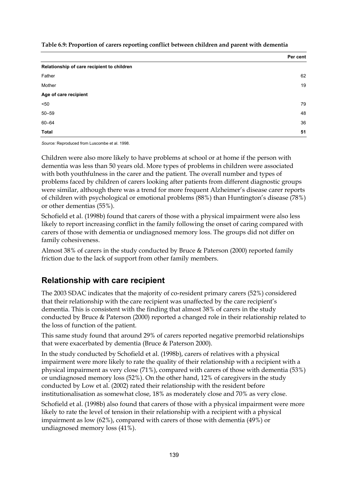**Table 6.9: Proportion of carers reporting conflict between children and parent with dementia** 

|                                            | Per cent |
|--------------------------------------------|----------|
| Relationship of care recipient to children |          |
| Father                                     | 62       |
| Mother                                     | 19       |
| Age of care recipient                      |          |
| < 50                                       | 79       |
| $50 - 59$                                  | 48       |
| $60 - 64$                                  | 36       |
| <b>Total</b>                               | 51       |

*Source:* Reproduced from Luscombe et al. 1998.

Children were also more likely to have problems at school or at home if the person with dementia was less than 50 years old. More types of problems in children were associated with both youthfulness in the carer and the patient. The overall number and types of problems faced by children of carers looking after patients from different diagnostic groups were similar, although there was a trend for more frequent Alzheimer's disease carer reports of children with psychological or emotional problems (88%) than Huntington's disease (78%) or other dementias (55%).

Schofield et al. (1998b) found that carers of those with a physical impairment were also less likely to report increasing conflict in the family following the onset of caring compared with carers of those with dementia or undiagnosed memory loss. The groups did not differ on family cohesiveness.

Almost 38% of carers in the study conducted by Bruce & Paterson (2000) reported family friction due to the lack of support from other family members.

#### **Relationship with care recipient**

The 2003 SDAC indicates that the majority of co-resident primary carers (52%) considered that their relationship with the care recipient was unaffected by the care recipient's dementia. This is consistent with the finding that almost 38% of carers in the study conducted by Bruce & Paterson (2000) reported a changed role in their relationship related to the loss of function of the patient.

This same study found that around 29% of carers reported negative premorbid relationships that were exacerbated by dementia (Bruce & Paterson 2000).

In the study conducted by Schofield et al. (1998b), carers of relatives with a physical impairment were more likely to rate the quality of their relationship with a recipient with a physical impairment as very close (71%), compared with carers of those with dementia (53%) or undiagnosed memory loss (52%). On the other hand, 12% of caregivers in the study conducted by Low et al. (2002) rated their relationship with the resident before institutionalisation as somewhat close, 18% as moderately close and 70% as very close.

Schofield et al. (1998b) also found that carers of those with a physical impairment were more likely to rate the level of tension in their relationship with a recipient with a physical impairment as low (62%), compared with carers of those with dementia (49%) or undiagnosed memory loss (41%).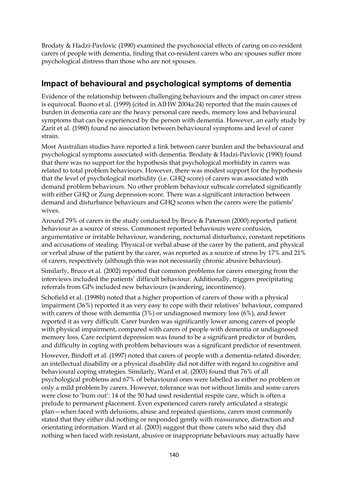Brodaty & Hadzi-Pavlovic (1990) examined the psychosocial effects of caring on co-resident carers of people with dementia, finding that co-resident carers who are spouses suffer more psychological distress than those who are not spouses.

# **Impact of behavioural and psychological symptoms of dementia**

Evidence of the relationship between challenging behaviours and the impact on carer stress is equivocal. Buono et al. (1999) (cited in AIHW 2004a:24) reported that the main causes of burden in dementia care are the heavy personal care needs, memory loss and behavioural symptoms that can be experienced by the person with dementia. However, an early study by Zarit et al. (1980) found no association between behavioural symptoms and level of carer strain.

Most Australian studies have reported a link between carer burden and the behavioural and psychological symptoms associated with dementia. Brodaty & Hadzi-Pavlovic (1990) found that there was no support for the hypothesis that psychological morbidity in carers was related to total problem behaviours. However, there was modest support for the hypothesis that the level of psychological morbidity (i.e. GHQ score) of carers was associated with demand problem behaviours. No other problem behaviour subscale correlated significantly with either GHQ or Zung depression score. There was a significant interaction between demand and disturbance behaviours and GHQ scores when the carers were the patients' wives.

Around 79% of carers in the study conducted by Bruce & Paterson (2000) reported patient behaviour as a source of stress. Commonest reported behaviours were confusion, argumentative or irritable behaviour, wandering, nocturnal disturbance, constant repetitions and accusations of stealing. Physical or verbal abuse of the carer by the patient, and physical or verbal abuse of the patient by the carer, was reported as a source of stress by 17% and 21% of carers, respectively (although this was not necessarily chronic abusive behaviour).

Similarly, Bruce et al. (2002) reported that common problems for carers emerging from the interviews included the patients' difficult behaviour. Additionally, triggers precipitating referrals from GPs included new behaviours (wandering, incontinence).

Schofield et al. (1998b) noted that a higher proportion of carers of those with a physical impairment (36%) reported it as very easy to cope with their relatives' behaviour, compared with carers of those with dementia (3%) or undiagnosed memory loss (6%), and fewer reported it as very difficult. Carer burden was significantly lower among carers of people with physical impairment, compared with carers of people with dementia or undiagnosed memory loss. Care recipient depression was found to be a significant predictor of burden, and difficulty in coping with problem behaviours was a significant predictor of resentment.

However, Bindoff et al. (1997) noted that carers of people with a dementia-related disorder, an intellectual disability or a physical disability did not differ with regard to cognitive and behavioural coping strategies. Similarly, Ward et al. (2003) found that 76% of all psychological problems and 67% of behavioural ones were labelled as either no problem or only a mild problem by carers. However, tolerance was not without limits and some carers were close to 'burn out': 14 of the 50 had used residential respite care, which is often a prelude to permanent placement. Even experienced carers rarely articulated a strategic plan—when faced with delusions, abuse and repeated questions, carers most commonly stated that they either did nothing or responded gently with reassurance, distraction and orientating information. Ward et al. (2003) suggest that those carers who said they did nothing when faced with resistant, abusive or inappropriate behaviours may actually have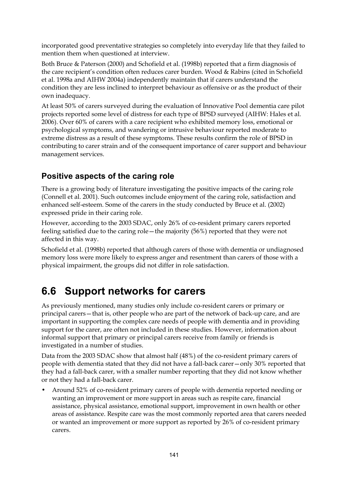incorporated good preventative strategies so completely into everyday life that they failed to mention them when questioned at interview.

Both Bruce & Paterson (2000) and Schofield et al. (1998b) reported that a firm diagnosis of the care recipient's condition often reduces carer burden. Wood & Rabins (cited in Schofield et al. 1998a and AIHW 2004a) independently maintain that if carers understand the condition they are less inclined to interpret behaviour as offensive or as the product of their own inadequacy.

At least 50% of carers surveyed during the evaluation of Innovative Pool dementia care pilot projects reported some level of distress for each type of BPSD surveyed (AIHW: Hales et al. 2006). Over 60% of carers with a care recipient who exhibited memory loss, emotional or psychological symptoms, and wandering or intrusive behaviour reported moderate to extreme distress as a result of these symptoms. These results confirm the role of BPSD in contributing to carer strain and of the consequent importance of carer support and behaviour management services.

# **Positive aspects of the caring role**

There is a growing body of literature investigating the positive impacts of the caring role (Connell et al. 2001). Such outcomes include enjoyment of the caring role, satisfaction and enhanced self-esteem. Some of the carers in the study conducted by Bruce et al. (2002) expressed pride in their caring role.

However, according to the 2003 SDAC, only 26% of co-resident primary carers reported feeling satisfied due to the caring role—the majority (56%) reported that they were not affected in this way.

Schofield et al. (1998b) reported that although carers of those with dementia or undiagnosed memory loss were more likely to express anger and resentment than carers of those with a physical impairment, the groups did not differ in role satisfaction.

# **6.6 Support networks for carers**

As previously mentioned, many studies only include co-resident carers or primary or principal carers—that is, other people who are part of the network of back-up care, and are important in supporting the complex care needs of people with dementia and in providing support for the carer, are often not included in these studies. However, information about informal support that primary or principal carers receive from family or friends is investigated in a number of studies.

Data from the 2003 SDAC show that almost half (48%) of the co-resident primary carers of people with dementia stated that they did not have a fall-back carer—only 30% reported that they had a fall-back carer, with a smaller number reporting that they did not know whether or not they had a fall-back carer.

• Around 52% of co-resident primary carers of people with dementia reported needing or wanting an improvement or more support in areas such as respite care, financial assistance, physical assistance, emotional support, improvement in own health or other areas of assistance. Respite care was the most commonly reported area that carers needed or wanted an improvement or more support as reported by 26% of co-resident primary carers.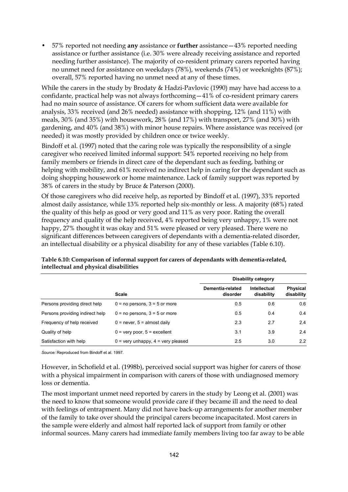• 57% reported not needing **any** assistance or **further** assistance—43% reported needing assistance or further assistance (i.e. 30% were already receiving assistance and reported needing further assistance). The majority of co-resident primary carers reported having no unmet need for assistance on weekdays (78%), weekends (74%) or weeknights (87%); overall, 57% reported having no unmet need at any of these times.

While the carers in the study by Brodaty & Hadzi-Pavlovic (1990) may have had access to a confidante, practical help was not always forthcoming—41% of co-resident primary carers had no main source of assistance. Of carers for whom sufficient data were available for analysis, 33% received (and 26% needed) assistance with shopping, 12% (and 11%) with meals, 30% (and 35%) with housework, 28% (and 17%) with transport, 27% (and 30%) with gardening, and 40% (and 38%) with minor house repairs. Where assistance was received (or needed) it was mostly provided by children once or twice weekly.

Bindoff et al. (1997) noted that the caring role was typically the responsibility of a single caregiver who received limited informal support: 54% reported receiving no help from family members or friends in direct care of the dependant such as feeding, bathing or helping with mobility, and 61% received no indirect help in caring for the dependant such as doing shopping housework or home maintenance. Lack of family support was reported by 38% of carers in the study by Bruce & Paterson (2000).

Of those caregivers who did receive help, as reported by Bindoff et al. (1997), 33% reported almost daily assistance, while 13% reported help six-monthly or less. A majority (68%) rated the quality of this help as good or very good and 11% as very poor. Rating the overall frequency and quality of the help received, 4% reported being very unhappy, 1% were not happy, 27% thought it was okay and 51% were pleased or very pleased. There were no significant differences between caregivers of dependants with a dementia-related disorder, an intellectual disability or a physical disability for any of these variables (Table 6.10).

|                                 |                                                    | Disability category          |                            |                        |  |  |
|---------------------------------|----------------------------------------------------|------------------------------|----------------------------|------------------------|--|--|
|                                 | <b>Scale</b>                                       | Dementia-related<br>disorder | Intellectual<br>disability | Physical<br>disability |  |  |
| Persons providing direct help   | $0 = no$ persons, $3 = 5$ or more                  | 0.5                          | 0.6                        | 0.6                    |  |  |
| Persons providing indirect help | $0 = no$ persons, $3 = 5$ or more                  | 0.5                          | 0.4                        | 0.4                    |  |  |
| Frequency of help received      | $0 =$ never, $5 =$ almost daily                    | 2.3                          | 2.7                        | 2.4                    |  |  |
| Quality of help                 | $0 =$ very poor, $5 =$ excellent                   | 3.1                          | 3.9                        | 2.4                    |  |  |
| Satisfaction with help          | $0 = \text{very unhappy}, 4 = \text{very pleased}$ | 2.5                          | 3.0                        | 2.2                    |  |  |

**Table 6.10: Comparison of informal support for carers of dependants with dementia-related, intellectual and physical disabilities** 

*Source:* Reproduced from Bindoff et al. 1997.

However, in Schofield et al. (1998b), perceived social support was higher for carers of those with a physical impairment in comparison with carers of those with undiagnosed memory loss or dementia.

The most important unmet need reported by carers in the study by Leong et al. (2001) was the need to know that someone would provide care if they became ill and the need to deal with feelings of entrapment. Many did not have back-up arrangements for another member of the family to take over should the principal carers become incapacitated. Most carers in the sample were elderly and almost half reported lack of support from family or other informal sources. Many carers had immediate family members living too far away to be able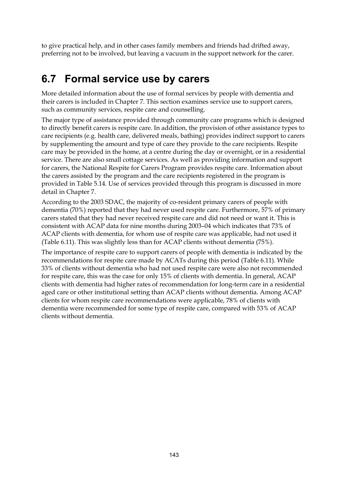to give practical help, and in other cases family members and friends had drifted away, preferring not to be involved, but leaving a vacuum in the support network for the carer.

# **6.7 Formal service use by carers**

More detailed information about the use of formal services by people with dementia and their carers is included in Chapter 7. This section examines service use to support carers, such as community services, respite care and counselling.

The major type of assistance provided through community care programs which is designed to directly benefit carers is respite care. In addition, the provision of other assistance types to care recipients (e.g. health care, delivered meals, bathing) provides indirect support to carers by supplementing the amount and type of care they provide to the care recipients. Respite care may be provided in the home, at a centre during the day or overnight, or in a residential service. There are also small cottage services. As well as providing information and support for carers, the National Respite for Carers Program provides respite care. Information about the carers assisted by the program and the care recipients registered in the program is provided in Table 5.14. Use of services provided through this program is discussed in more detail in Chapter 7.

According to the 2003 SDAC, the majority of co-resident primary carers of people with dementia (70%) reported that they had never used respite care. Furthermore, 57% of primary carers stated that they had never received respite care and did not need or want it. This is consistent with ACAP data for nine months during 2003–04 which indicates that 73% of ACAP clients with dementia, for whom use of respite care was applicable, had not used it (Table 6.11). This was slightly less than for ACAP clients without dementia (75%).

The importance of respite care to support carers of people with dementia is indicated by the recommendations for respite care made by ACATs during this period (Table 6.11). While 33% of clients without dementia who had not used respite care were also not recommended for respite care, this was the case for only 15% of clients with dementia. In general, ACAP clients with dementia had higher rates of recommendation for long-term care in a residential aged care or other institutional setting than ACAP clients without dementia. Among ACAP clients for whom respite care recommendations were applicable, 78% of clients with dementia were recommended for some type of respite care, compared with 53% of ACAP clients without dementia.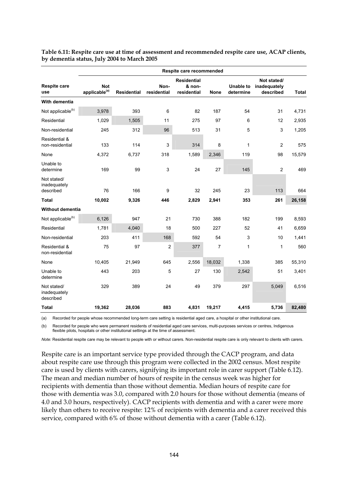| Respite care recommended                 |                                         |                    |                     |                                             |             |                               |                                          |              |
|------------------------------------------|-----------------------------------------|--------------------|---------------------|---------------------------------------------|-------------|-------------------------------|------------------------------------------|--------------|
| <b>Respite care</b><br>use               | <b>Not</b><br>applicable <sup>(a)</sup> | <b>Residential</b> | Non-<br>residential | <b>Residential</b><br>& non-<br>residential | <b>None</b> | <b>Unable to</b><br>determine | Not stated/<br>inadequately<br>described | <b>Total</b> |
| With dementia                            |                                         |                    |                     |                                             |             |                               |                                          |              |
| Not applicable <sup>(b)</sup>            | 3,978                                   | 393                | 6                   | 82                                          | 187         | 54                            | 31                                       | 4,731        |
| Residential                              | 1,029                                   | 1,505              | 11                  | 275                                         | 97          | 6                             | 12                                       | 2,935        |
| Non-residential                          | 245                                     | 312                | 96                  | 513                                         | 31          | 5                             | 3                                        | 1,205        |
| Residential &<br>non-residential         | 133                                     | 114                | 3                   | 314                                         | 8           | $\mathbf{1}$                  | $\overline{c}$                           | 575          |
| None                                     | 4,372                                   | 6,737              | 318                 | 1,589                                       | 2,346       | 119                           | 98                                       | 15,579       |
| Unable to<br>determine                   | 169                                     | 99                 | 3                   | 24                                          | 27          | 145                           | $\overline{c}$                           | 469          |
| Not stated/<br>inadequately<br>described | 76                                      | 166                | 9                   | 32                                          | 245         | 23                            | 113                                      | 664          |
| Total                                    | 10,002                                  | 9,326              | 446                 | 2,829                                       | 2,941       | 353                           | 261                                      | 26,158       |
| <b>Without dementia</b>                  |                                         |                    |                     |                                             |             |                               |                                          |              |
| Not applicable <sup>(b)</sup>            | 6,126                                   | 947                | 21                  | 730                                         | 388         | 182                           | 199                                      | 8,593        |
| Residential                              | 1,781                                   | 4,040              | 18                  | 500                                         | 227         | 52                            | 41                                       | 6,659        |
| Non-residential                          | 203                                     | 411                | 168                 | 592                                         | 54          | 3                             | 10                                       | 1,441        |
| Residential &<br>non-residential         | 75                                      | 97                 | $\overline{c}$      | 377                                         | 7           | 1                             | $\mathbf{1}$                             | 560          |
| None                                     | 10,405                                  | 21,949             | 645                 | 2,556                                       | 18,032      | 1,338                         | 385                                      | 55,310       |
| Unable to<br>determine                   | 443                                     | 203                | 5                   | 27                                          | 130         | 2,542                         | 51                                       | 3,401        |
| Not stated/<br>inadequately<br>described | 329                                     | 389                | 24                  | 49                                          | 379         | 297                           | 5,049                                    | 6,516        |
| Total                                    | 19,362                                  | 28,036             | 883                 | 4,831                                       | 19,217      | 4,415                         | 5,736                                    | 82,480       |

**Table 6.11: Respite care use at time of assessment and recommended respite care use, ACAP clients, by dementia status, July 2004 to March 2005** 

(a) Recorded for people whose recommended long-term care setting is residential aged care, a hospital or other institutional care.

(b) Recorded for people who were permanent residents of residential aged care services, multi-purposes services or centres, Indigenous flexible pilots, hospitals or other institutional settings at the time of assessment.

*Note:* Residential respite care may be relevant to people with or without carers. Non-residential respite care is only relevant to clients with carers.

Respite care is an important service type provided through the CACP program, and data about respite care use through this program were collected in the 2002 census. Most respite care is used by clients with carers, signifying its important role in carer support (Table 6.12). The mean and median number of hours of respite in the census week was higher for recipients with dementia than those without dementia. Median hours of respite care for those with dementia was 3.0, compared with 2.0 hours for those without dementia (means of 4.0 and 3.0 hours, respectively). CACP recipients with dementia and with a carer were more likely than others to receive respite: 12% of recipients with dementia and a carer received this service, compared with 6% of those without dementia with a carer (Table 6.12).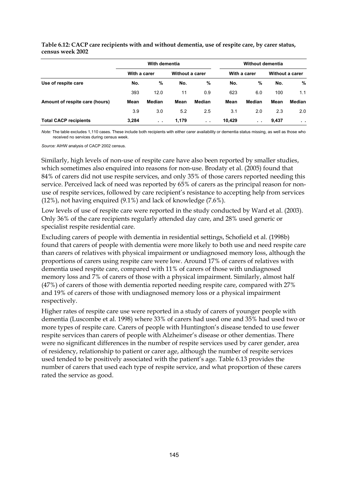|                                | With dementia |                 |                 | <b>Without dementia</b> |        |              |       |                 |
|--------------------------------|---------------|-----------------|-----------------|-------------------------|--------|--------------|-------|-----------------|
|                                | With a carer  |                 | Without a carer |                         |        | With a carer |       | Without a carer |
| Use of respite care            | No.           | %               | No.             | %                       | No.    | %            | No.   | %               |
|                                | 393           | 12.0            | 11              | 0.9                     | 623    | 6.0          | 100   | 1.1             |
| Amount of respite care (hours) | Mean          | Median          | Mean            | Median                  | Mean   | Median       | Mean  | Median          |
|                                | 3.9           | 3.0             | 5.2             | 2.5                     | 3.1    | 2.0          | 2.3   | 2.0             |
| <b>Total CACP recipients</b>   | 3,284         | $\sim$ 10 $\pm$ | 1,179           | $\sim 10$               | 10,429 | $\sim 10$    | 9,437 | $\sim$ $\sim$   |

**Table 6.12: CACP care recipients with and without dementia, use of respite care, by carer status, census week 2002** 

*Note:* The table excludes 1,110 cases. These include both recipients with either carer availability or dementia status missing, as well as those who received no services during census week.

*Source:* AIHW analysis of CACP 2002 census.

Similarly, high levels of non-use of respite care have also been reported by smaller studies, which sometimes also enquired into reasons for non-use. Brodaty et al. (2005) found that 84% of carers did not use respite services, and only 35% of those carers reported needing this service. Perceived lack of need was reported by 65% of carers as the principal reason for nonuse of respite services, followed by care recipient's resistance to accepting help from services (12%), not having enquired (9.1%) and lack of knowledge (7.6%).

Low levels of use of respite care were reported in the study conducted by Ward et al. (2003). Only 36% of the care recipients regularly attended day care, and 28% used generic or specialist respite residential care.

Excluding carers of people with dementia in residential settings, Schofield et al. (1998b) found that carers of people with dementia were more likely to both use and need respite care than carers of relatives with physical impairment or undiagnosed memory loss, although the proportions of carers using respite care were low. Around 17% of carers of relatives with dementia used respite care, compared with 11% of carers of those with undiagnosed memory loss and 7% of carers of those with a physical impairment. Similarly, almost half (47%) of carers of those with dementia reported needing respite care, compared with 27% and 19% of carers of those with undiagnosed memory loss or a physical impairment respectively.

Higher rates of respite care use were reported in a study of carers of younger people with dementia (Luscombe et al. 1998) where 33% of carers had used one and 35% had used two or more types of respite care. Carers of people with Huntington's disease tended to use fewer respite services than carers of people with Alzheimer's disease or other dementias. There were no significant differences in the number of respite services used by carer gender, area of residency, relationship to patient or carer age, although the number of respite services used tended to be positively associated with the patient's age. Table 6.13 provides the number of carers that used each type of respite service, and what proportion of these carers rated the service as good.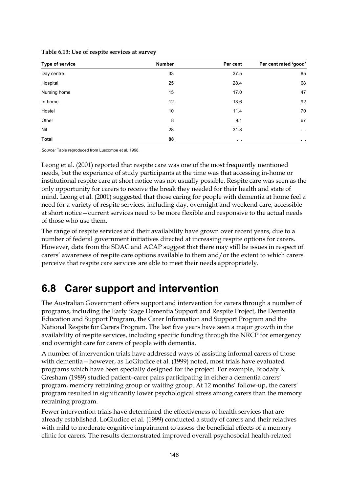| Type of service | <b>Number</b> | Per cent      | Per cent rated 'good'   |
|-----------------|---------------|---------------|-------------------------|
| Day centre      | 33            | 37.5          | 85                      |
| Hospital        | 25            | 28.4          | 68                      |
| Nursing home    | 15            | 17.0          | 47                      |
| In-home         | 12            | 13.6          | 92                      |
| Hostel          | 10            | 11.4          | 70                      |
| Other           | 8             | 9.1           | 67                      |
| Nil             | 28            | 31.8          | $\sim$ $ \sim$          |
| Total           | 88            | $\sim$ $\sim$ | $\mathbf{r}=\mathbf{r}$ |

**Table 6.13: Use of respite services at survey** 

*Source:* Table reproduced from Luscombe et al. 1998.

Leong et al. (2001) reported that respite care was one of the most frequently mentioned needs, but the experience of study participants at the time was that accessing in-home or institutional respite care at short notice was not usually possible. Respite care was seen as the only opportunity for carers to receive the break they needed for their health and state of mind. Leong et al. (2001) suggested that those caring for people with dementia at home feel a need for a variety of respite services, including day, overnight and weekend care, accessible at short notice—current services need to be more flexible and responsive to the actual needs of those who use them.

The range of respite services and their availability have grown over recent years, due to a number of federal government initiatives directed at increasing respite options for carers. However, data from the SDAC and ACAP suggest that there may still be issues in respect of carers' awareness of respite care options available to them and/or the extent to which carers perceive that respite care services are able to meet their needs appropriately.

# **6.8 Carer support and intervention**

The Australian Government offers support and intervention for carers through a number of programs, including the Early Stage Dementia Support and Respite Project, the Dementia Education and Support Program, the Carer Information and Support Program and the National Respite for Carers Program. The last five years have seen a major growth in the availability of respite services, including specific funding through the NRCP for emergency and overnight care for carers of people with dementia.

A number of intervention trials have addressed ways of assisting informal carers of those with dementia—however, as LoGiudice et al. (1999) noted, most trials have evaluated programs which have been specially designed for the project. For example, Brodaty & Gresham (1989) studied patient–carer pairs participating in either a dementia carers' program, memory retraining group or waiting group. At 12 months' follow-up, the carers' program resulted in significantly lower psychological stress among carers than the memory retraining program.

Fewer intervention trials have determined the effectiveness of health services that are already established. LoGiudice et al. (1999) conducted a study of carers and their relatives with mild to moderate cognitive impairment to assess the beneficial effects of a memory clinic for carers. The results demonstrated improved overall psychosocial health-related